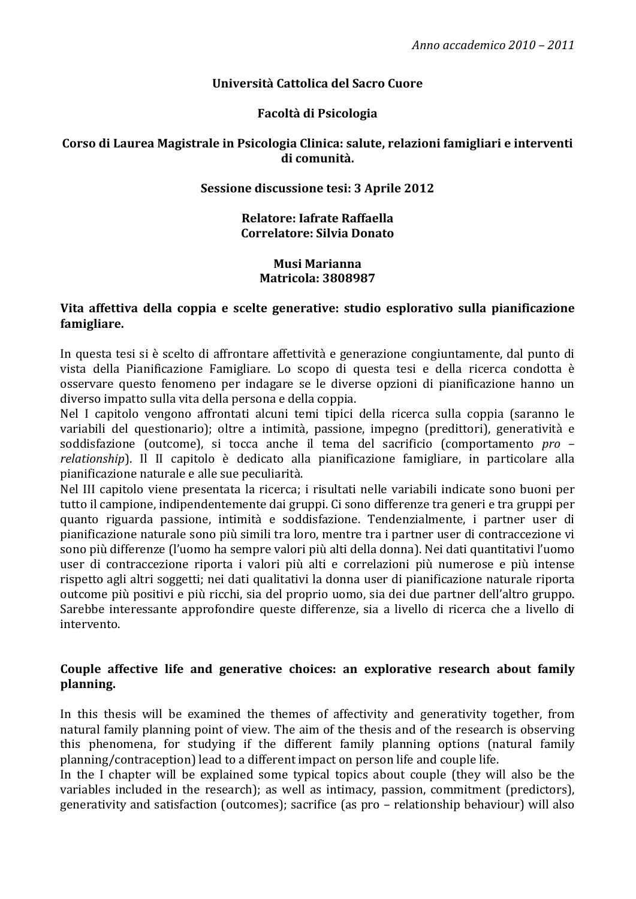# Università Cattolica del Sacro Cuore

# Facoltà di Psicologia

#### Corso di Laurea Magistrale in Psicologia Clinica: salute, relazioni famigliari e interventi di comunità.

# Sessione discussione tesi: 3 Aprile 2012

### Relatore: Iafrate Raffaella Correlatore: Silvia Donato

#### **Musi Marianna Matricola: 3808987**

#### Vita affettiva della coppia e scelte generative: studio esplorativo sulla pianificazione famigliare.

In questa tesi si è scelto di affrontare affettività e generazione congiuntamente, dal punto di vista della Pianificazione Famigliare. Lo scopo di questa tesi e della ricerca condotta è osservare questo fenomeno per indagare se le diverse opzioni di pianificazione hanno un diverso impatto sulla vita della persona e della coppia.

Nel I capitolo vengono affrontati alcuni temi tipici della ricerca sulla coppia (saranno le variabili del questionario); oltre a intimità, passione, impegno (predittori), generatività e soddisfazione (outcome), si tocca anche il tema del sacrificio (comportamento pro relationship). Il II capitolo è dedicato alla pianificazione famigliare, in particolare alla pianificazione naturale e alle sue peculiarità.

Nel III capitolo viene presentata la ricerca; i risultati nelle variabili indicate sono buoni per tutto il campione, indipendentemente dai gruppi. Ci sono differenze tra generi e tra gruppi per quanto riguarda passione, intimità e soddisfazione. Tendenzialmente, i partner user di pianificazione naturale sono più simili tra loro, mentre tra i partner user di contraccezione vi sono più differenze (l'uomo ha sempre valori più alti della donna). Nei dati quantitativi l'uomo user di contraccezione riporta i valori più alti e correlazioni più numerose e più intense rispetto agli altri soggetti: nei dati qualitativi la donna user di pianificazione naturale riporta outcome più positivi e più ricchi, sia del proprio uomo, sia dei due partner dell'altro gruppo. Sarebbe interessante approfondire queste differenze, sia a livello di ricerca che a livello di intervento.

### Couple affective life and generative choices: an explorative research about family planning.

In this thesis will be examined the themes of affectivity and generativity together, from natural family planning point of view. The aim of the thesis and of the research is observing this phenomena, for studying if the different family planning options (natural family planning/contraception) lead to a different impact on person life and couple life.

In the I chapter will be explained some typical topics about couple (they will also be the variables included in the research); as well as intimacy, passion, commitment (predictors), generativity and satisfaction (outcomes); sacrifice (as pro – relationship behaviour) will also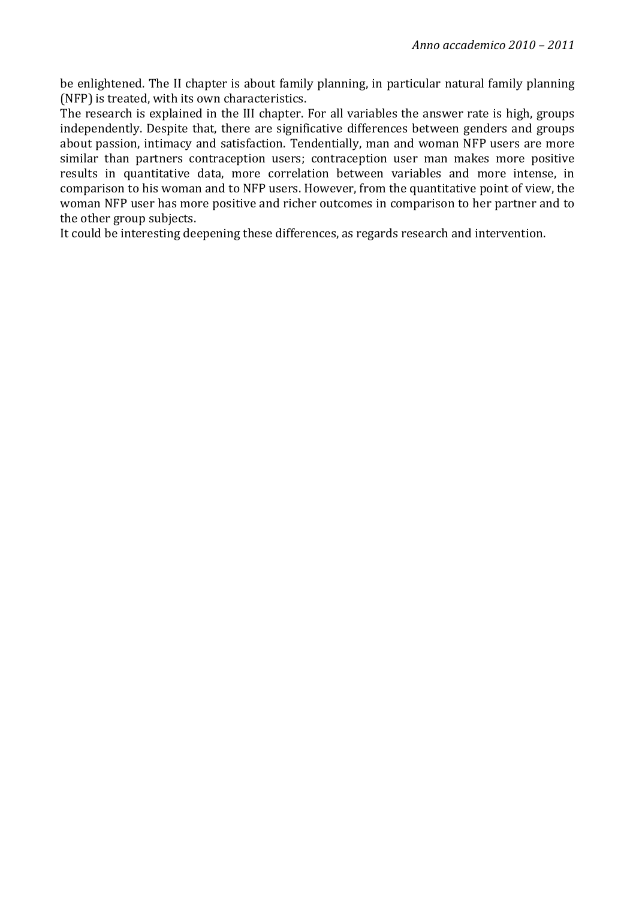be enlightened. The II chapter is about family planning, in particular natural family planning (NFP) is treated, with its own characteristics.

The research is explained in the III chapter. For all variables the answer rate is high, groups independently. Despite that, there are significative differences between genders and groups about passion, intimacy and satisfaction. Tendentially, man and woman NFP users are more similar than partners contraception users; contraception user man makes more positive results in quantitative data, more correlation between variables and more intense, in comparison to his woman and to NFP users. However, from the quantitative point of view, the woman NFP user has more positive and richer outcomes in comparison to her partner and to the other group subjects.

It could be interesting deepening these differences, as regards research and intervention.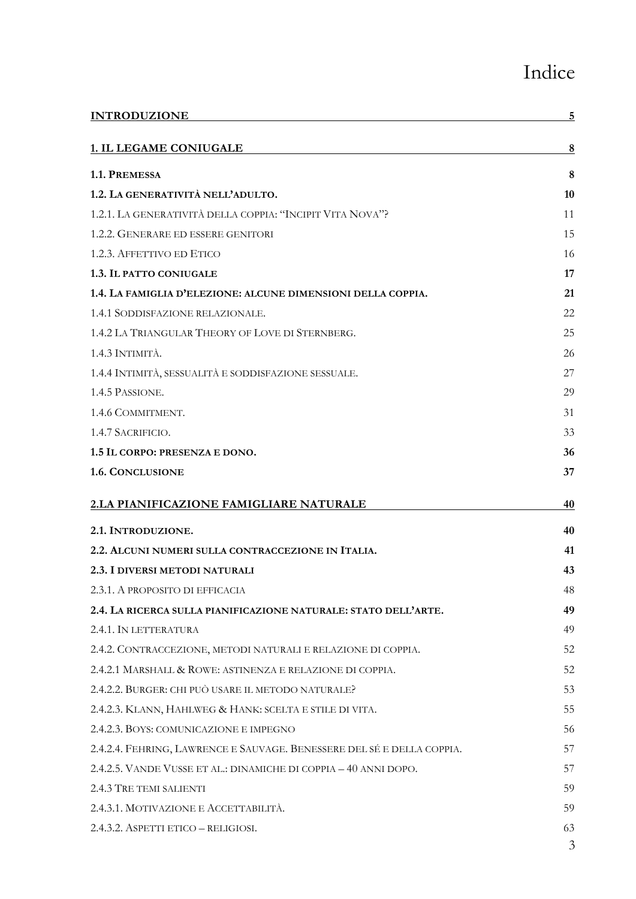# Indice

| <b>INTRODUZIONE</b>                                                    | 5  |
|------------------------------------------------------------------------|----|
| 1. IL LEGAME CONIUGALE                                                 | 8  |
| 1.1. PREMESSA                                                          | 8  |
| 1.2. LA GENERATIVITÀ NELL'ADULTO.                                      | 10 |
| 1.2.1. LA GENERATIVITÀ DELLA COPPIA: "INCIPIT VITA NOVA"?              | 11 |
| 1.2.2. GENERARE ED ESSERE GENITORI                                     | 15 |
| 1.2.3. AFFETTIVO ED ETICO                                              | 16 |
| 1.3. IL PATTO CONIUGALE                                                | 17 |
| 1.4. LA FAMIGLIA D'ELEZIONE: ALCUNE DIMENSIONI DELLA COPPIA.           | 21 |
| 1.4.1 SODDISFAZIONE RELAZIONALE.                                       | 22 |
| 1.4.2 LA TRIANGULAR THEORY OF LOVE DI STERNBERG.                       | 25 |
| 1.4.3 INTIMITÀ.                                                        | 26 |
| 1.4.4 INTIMITÀ, SESSUALITÀ E SODDISFAZIONE SESSUALE.                   | 27 |
| 1.4.5 PASSIONE.                                                        | 29 |
| 1.4.6 COMMITMENT.                                                      | 31 |
| 1.4.7 SACRIFICIO.                                                      | 33 |
| 1.5 IL CORPO: PRESENZA E DONO.                                         | 36 |
| 1.6. CONCLUSIONE                                                       | 37 |
| 2.LA PIANIFICAZIONE FAMIGLIARE NATURALE                                | 40 |
| 2.1. INTRODUZIONE.                                                     | 40 |
| 2.2. ALCUNI NUMERI SULLA CONTRACCEZIONE IN ITALIA.                     | 41 |
| 2.3. I DIVERSI METODI NATURALI                                         | 43 |
| 2.3.1. A PROPOSITO DI EFFICACIA                                        | 48 |
| 2.4. LA RICERCA SULLA PIANIFICAZIONE NATURALE: STATO DELL'ARTE.        | 49 |
| 2.4.1. IN LETTERATURA                                                  | 49 |
| 2.4.2. CONTRACCEZIONE, METODI NATURALI E RELAZIONE DI COPPIA.          | 52 |
| 2.4.2.1 MARSHALL & ROWE: ASTINENZA E RELAZIONE DI COPPIA.              | 52 |
| 2.4.2.2. BURGER: CHI PUÒ USARE IL METODO NATURALE?                     | 53 |
| 2.4.2.3. KLANN, HAHLWEG & HANK: SCELTA E STILE DI VITA.                | 55 |
| 2.4.2.3. BOYS: COMUNICAZIONE E IMPEGNO                                 | 56 |
| 2.4.2.4. FEHRING, LAWRENCE E SAUVAGE. BENESSERE DEL SÉ E DELLA COPPIA. | 57 |
| 2.4.2.5. VANDE VUSSE ET AL.: DINAMICHE DI COPPIA - 40 ANNI DOPO.       | 57 |
| 2.4.3 TRE TEMI SALIENTI                                                | 59 |
| 2.4.3.1. MOTIVAZIONE E ACCETTABILITÀ.                                  | 59 |
| 2.4.3.2. ASPETTI ETICO - RELIGIOSI.                                    | 63 |
|                                                                        | 3  |